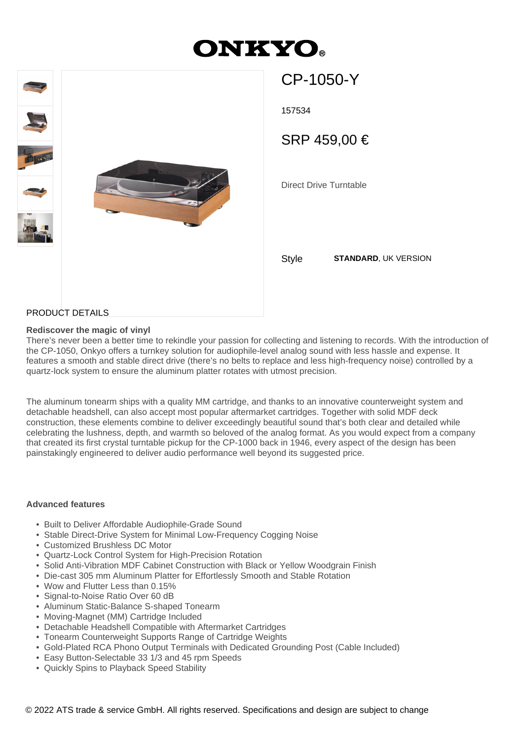# **ONKYO**



157534 Direct Drive Turntable SRP 459,00 €

CP-1050-Y

Style **STANDARD**, UK VERSION

# PRODUCT DETAILS

### **Rediscover the magic of vinyl**

There's never been a better time to rekindle your passion for collecting and listening to records. With the introduction of the CP-1050, Onkyo offers a turnkey solution for audiophile-level analog sound with less hassle and expense. It features a smooth and stable direct drive (there's no belts to replace and less high-frequency noise) controlled by a quartz-lock system to ensure the aluminum platter rotates with utmost precision.

The aluminum tonearm ships with a quality MM cartridge, and thanks to an innovative counterweight system and detachable headshell, can also accept most popular aftermarket cartridges. Together with solid MDF deck construction, these elements combine to deliver exceedingly beautiful sound that's both clear and detailed while celebrating the lushness, depth, and warmth so beloved of the analog format. As you would expect from a company that created its first crystal turntable pickup for the CP-1000 back in 1946, every aspect of the design has been painstakingly engineered to deliver audio performance well beyond its suggested price.

#### **Advanced features**

- Built to Deliver Affordable Audiophile-Grade Sound
- Stable Direct-Drive System for Minimal Low-Frequency Cogging Noise
- Customized Brushless DC Motor
- Quartz-Lock Control System for High-Precision Rotation
- Solid Anti-Vibration MDF Cabinet Construction with Black or Yellow Woodgrain Finish
- Die-cast 305 mm Aluminum Platter for Effortlessly Smooth and Stable Rotation
- Wow and Flutter Less than 0.15%
- Signal-to-Noise Ratio Over 60 dB
- Aluminum Static-Balance S-shaped Tonearm
- Moving-Magnet (MM) Cartridge Included
- Detachable Headshell Compatible with Aftermarket Cartridges
- Tonearm Counterweight Supports Range of Cartridge Weights
- Gold-Plated RCA Phono Output Terminals with Dedicated Grounding Post (Cable Included)
- Easy Button-Selectable 33 1/3 and 45 rpm Speeds
- Quickly Spins to Playback Speed Stability